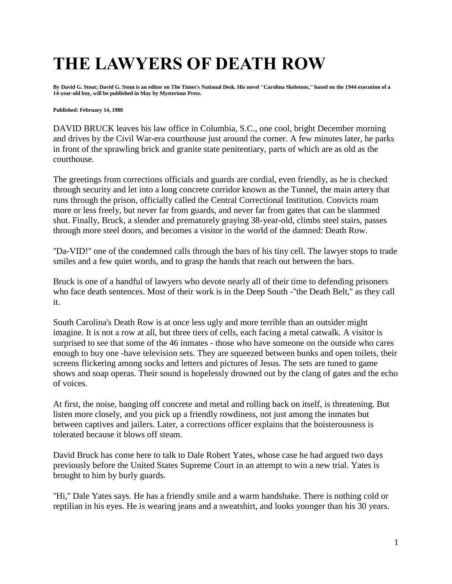## **THE LAWYERS OF DEATH ROW**

**By David G. Stout; David G. Stout is an editor on The Times's National Desk. His novel ''Carolina Skeletons,'' based on the 1944 execution of a 14-year-old boy, will be published in May by Mysterious Press.** 

## **Published: February 14, 1988**

DAVID BRUCK leaves his law office in Columbia, S.C., one cool, bright December morning and drives by the Civil War-era courthouse just around the corner. A few minutes later, he parks in front of the sprawling brick and granite state penitentiary, parts of which are as old as the courthouse.

The greetings from corrections officials and guards are cordial, even friendly, as he is checked through security and let into a long concrete corridor known as the Tunnel, the main artery that runs through the prison, officially called the Central Correctional Institution. Convicts roam more or less freely, but never far from guards, and never far from gates that can be slammed shut. Finally, Bruck, a slender and prematurely graying 38-year-old, climbs steel stairs, passes through more steel doors, and becomes a visitor in the world of the damned: Death Row.

''Da-VID!'' one of the condemned calls through the bars of his tiny cell. The lawyer stops to trade smiles and a few quiet words, and to grasp the hands that reach out between the bars.

Bruck is one of a handful of lawyers who devote nearly all of their time to defending prisoners who face death sentences. Most of their work is in the Deep South -''the Death Belt,'' as they call it.

South Carolina's Death Row is at once less ugly and more terrible than an outsider might imagine. It is not a row at all, but three tiers of cells, each facing a metal catwalk. A visitor is surprised to see that some of the 46 inmates - those who have someone on the outside who cares enough to buy one -have television sets. They are squeezed between bunks and open toilets, their screens flickering among socks and letters and pictures of Jesus. The sets are tuned to game shows and soap operas. Their sound is hopelessly drowned out by the clang of gates and the echo of voices.

At first, the noise, banging off concrete and metal and rolling back on itself, is threatening. But listen more closely, and you pick up a friendly rowdiness, not just among the inmates but between captives and jailers. Later, a corrections officer explains that the boisterousness is tolerated because it blows off steam.

David Bruck has come here to talk to Dale Robert Yates, whose case he had argued two days previously before the United States Supreme Court in an attempt to win a new trial. Yates is brought to him by burly guards.

''Hi,'' Dale Yates says. He has a friendly smile and a warm handshake. There is nothing cold or reptilian in his eyes. He is wearing jeans and a sweatshirt, and looks younger than his 30 years.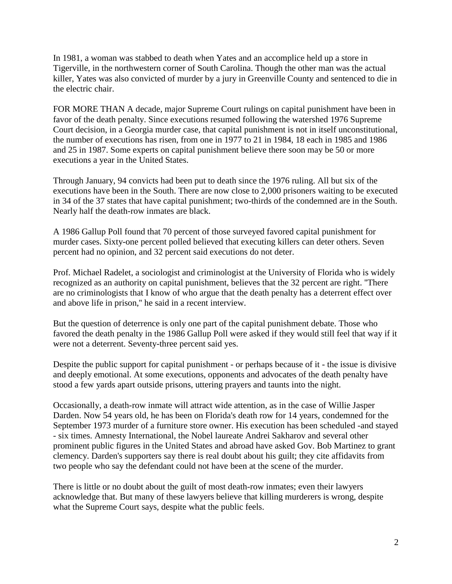In 1981, a woman was stabbed to death when Yates and an accomplice held up a store in Tigerville, in the northwestern corner of South Carolina. Though the other man was the actual killer, Yates was also convicted of murder by a jury in Greenville County and sentenced to die in the electric chair.

FOR MORE THAN A decade, major Supreme Court rulings on capital punishment have been in favor of the death penalty. Since executions resumed following the watershed 1976 Supreme Court decision, in a Georgia murder case, that capital punishment is not in itself unconstitutional, the number of executions has risen, from one in 1977 to 21 in 1984, 18 each in 1985 and 1986 and 25 in 1987. Some experts on capital punishment believe there soon may be 50 or more executions a year in the United States.

Through January, 94 convicts had been put to death since the 1976 ruling. All but six of the executions have been in the South. There are now close to 2,000 prisoners waiting to be executed in 34 of the 37 states that have capital punishment; two-thirds of the condemned are in the South. Nearly half the death-row inmates are black.

A 1986 Gallup Poll found that 70 percent of those surveyed favored capital punishment for murder cases. Sixty-one percent polled believed that executing killers can deter others. Seven percent had no opinion, and 32 percent said executions do not deter.

Prof. Michael Radelet, a sociologist and criminologist at the University of Florida who is widely recognized as an authority on capital punishment, believes that the 32 percent are right. ''There are no criminologists that I know of who argue that the death penalty has a deterrent effect over and above life in prison,'' he said in a recent interview.

But the question of deterrence is only one part of the capital punishment debate. Those who favored the death penalty in the 1986 Gallup Poll were asked if they would still feel that way if it were not a deterrent. Seventy-three percent said yes.

Despite the public support for capital punishment - or perhaps because of it - the issue is divisive and deeply emotional. At some executions, opponents and advocates of the death penalty have stood a few yards apart outside prisons, uttering prayers and taunts into the night.

Occasionally, a death-row inmate will attract wide attention, as in the case of Willie Jasper Darden. Now 54 years old, he has been on Florida's death row for 14 years, condemned for the September 1973 murder of a furniture store owner. His execution has been scheduled -and stayed - six times. Amnesty International, the Nobel laureate Andrei Sakharov and several other prominent public figures in the United States and abroad have asked Gov. Bob Martinez to grant clemency. Darden's supporters say there is real doubt about his guilt; they cite affidavits from two people who say the defendant could not have been at the scene of the murder.

There is little or no doubt about the guilt of most death-row inmates; even their lawyers acknowledge that. But many of these lawyers believe that killing murderers is wrong, despite what the Supreme Court says, despite what the public feels.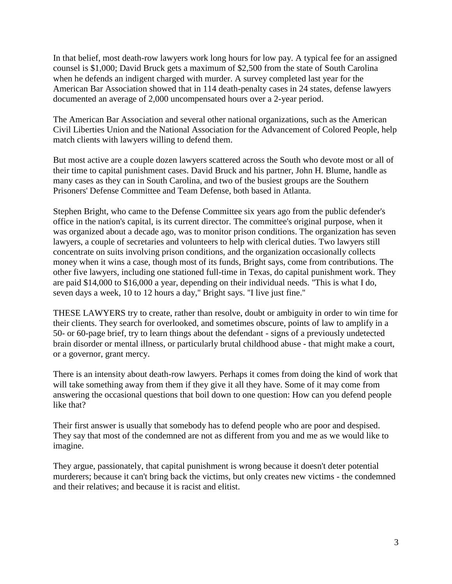In that belief, most death-row lawyers work long hours for low pay. A typical fee for an assigned counsel is \$1,000; David Bruck gets a maximum of \$2,500 from the state of South Carolina when he defends an indigent charged with murder. A survey completed last year for the American Bar Association showed that in 114 death-penalty cases in 24 states, defense lawyers documented an average of 2,000 uncompensated hours over a 2-year period.

The American Bar Association and several other national organizations, such as the American Civil Liberties Union and the National Association for the Advancement of Colored People, help match clients with lawyers willing to defend them.

But most active are a couple dozen lawyers scattered across the South who devote most or all of their time to capital punishment cases. David Bruck and his partner, John H. Blume, handle as many cases as they can in South Carolina, and two of the busiest groups are the Southern Prisoners' Defense Committee and Team Defense, both based in Atlanta.

Stephen Bright, who came to the Defense Committee six years ago from the public defender's office in the nation's capital, is its current director. The committee's original purpose, when it was organized about a decade ago, was to monitor prison conditions. The organization has seven lawyers, a couple of secretaries and volunteers to help with clerical duties. Two lawyers still concentrate on suits involving prison conditions, and the organization occasionally collects money when it wins a case, though most of its funds, Bright says, come from contributions. The other five lawyers, including one stationed full-time in Texas, do capital punishment work. They are paid \$14,000 to \$16,000 a year, depending on their individual needs. ''This is what I do, seven days a week, 10 to 12 hours a day,'' Bright says. ''I live just fine.''

THESE LAWYERS try to create, rather than resolve, doubt or ambiguity in order to win time for their clients. They search for overlooked, and sometimes obscure, points of law to amplify in a 50- or 60-page brief, try to learn things about the defendant - signs of a previously undetected brain disorder or mental illness, or particularly brutal childhood abuse - that might make a court, or a governor, grant mercy.

There is an intensity about death-row lawyers. Perhaps it comes from doing the kind of work that will take something away from them if they give it all they have. Some of it may come from answering the occasional questions that boil down to one question: How can you defend people like that?

Their first answer is usually that somebody has to defend people who are poor and despised. They say that most of the condemned are not as different from you and me as we would like to imagine.

They argue, passionately, that capital punishment is wrong because it doesn't deter potential murderers; because it can't bring back the victims, but only creates new victims - the condemned and their relatives; and because it is racist and elitist.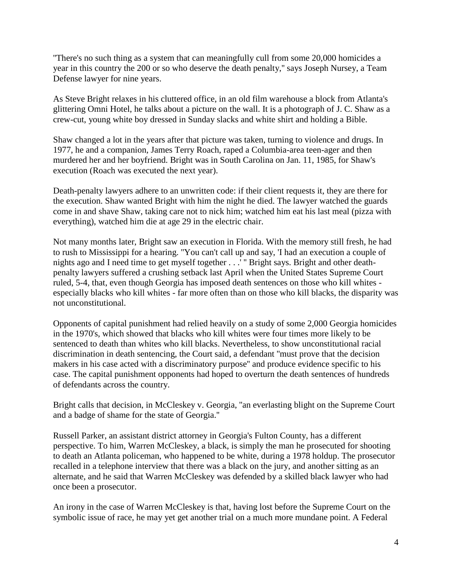''There's no such thing as a system that can meaningfully cull from some 20,000 homicides a year in this country the 200 or so who deserve the death penalty,'' says Joseph Nursey, a Team Defense lawyer for nine years.

As Steve Bright relaxes in his cluttered office, in an old film warehouse a block from Atlanta's glittering Omni Hotel, he talks about a picture on the wall. It is a photograph of J. C. Shaw as a crew-cut, young white boy dressed in Sunday slacks and white shirt and holding a Bible.

Shaw changed a lot in the years after that picture was taken, turning to violence and drugs. In 1977, he and a companion, James Terry Roach, raped a Columbia-area teen-ager and then murdered her and her boyfriend. Bright was in South Carolina on Jan. 11, 1985, for Shaw's execution (Roach was executed the next year).

Death-penalty lawyers adhere to an unwritten code: if their client requests it, they are there for the execution. Shaw wanted Bright with him the night he died. The lawyer watched the guards come in and shave Shaw, taking care not to nick him; watched him eat his last meal (pizza with everything), watched him die at age 29 in the electric chair.

Not many months later, Bright saw an execution in Florida. With the memory still fresh, he had to rush to Mississippi for a hearing. ''You can't call up and say, 'I had an execution a couple of nights ago and I need time to get myself together . . .' '' Bright says. Bright and other deathpenalty lawyers suffered a crushing setback last April when the United States Supreme Court ruled, 5-4, that, even though Georgia has imposed death sentences on those who kill whites especially blacks who kill whites - far more often than on those who kill blacks, the disparity was not unconstitutional.

Opponents of capital punishment had relied heavily on a study of some 2,000 Georgia homicides in the 1970's, which showed that blacks who kill whites were four times more likely to be sentenced to death than whites who kill blacks. Nevertheless, to show unconstitutional racial discrimination in death sentencing, the Court said, a defendant ''must prove that the decision makers in his case acted with a discriminatory purpose'' and produce evidence specific to his case. The capital punishment opponents had hoped to overturn the death sentences of hundreds of defendants across the country.

Bright calls that decision, in McCleskey v. Georgia, ''an everlasting blight on the Supreme Court and a badge of shame for the state of Georgia.''

Russell Parker, an assistant district attorney in Georgia's Fulton County, has a different perspective. To him, Warren McCleskey, a black, is simply the man he prosecuted for shooting to death an Atlanta policeman, who happened to be white, during a 1978 holdup. The prosecutor recalled in a telephone interview that there was a black on the jury, and another sitting as an alternate, and he said that Warren McCleskey was defended by a skilled black lawyer who had once been a prosecutor.

An irony in the case of Warren McCleskey is that, having lost before the Supreme Court on the symbolic issue of race, he may yet get another trial on a much more mundane point. A Federal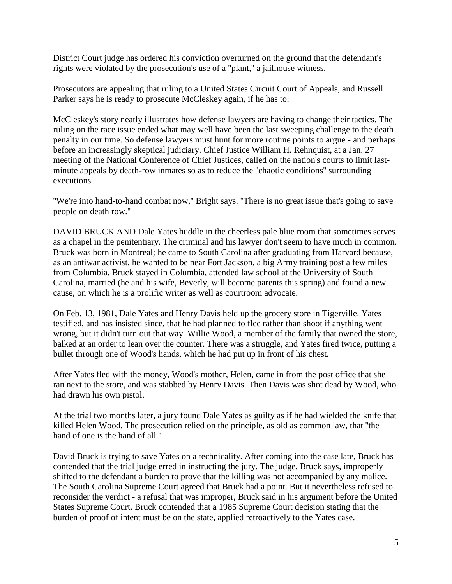District Court judge has ordered his conviction overturned on the ground that the defendant's rights were violated by the prosecution's use of a ''plant,'' a jailhouse witness.

Prosecutors are appealing that ruling to a United States Circuit Court of Appeals, and Russell Parker says he is ready to prosecute McCleskey again, if he has to.

McCleskey's story neatly illustrates how defense lawyers are having to change their tactics. The ruling on the race issue ended what may well have been the last sweeping challenge to the death penalty in our time. So defense lawyers must hunt for more routine points to argue - and perhaps before an increasingly skeptical judiciary. Chief Justice William H. Rehnquist, at a Jan. 27 meeting of the National Conference of Chief Justices, called on the nation's courts to limit lastminute appeals by death-row inmates so as to reduce the ''chaotic conditions'' surrounding executions.

''We're into hand-to-hand combat now,'' Bright says. ''There is no great issue that's going to save people on death row.''

DAVID BRUCK AND Dale Yates huddle in the cheerless pale blue room that sometimes serves as a chapel in the penitentiary. The criminal and his lawyer don't seem to have much in common. Bruck was born in Montreal; he came to South Carolina after graduating from Harvard because, as an antiwar activist, he wanted to be near Fort Jackson, a big Army training post a few miles from Columbia. Bruck stayed in Columbia, attended law school at the University of South Carolina, married (he and his wife, Beverly, will become parents this spring) and found a new cause, on which he is a prolific writer as well as courtroom advocate.

On Feb. 13, 1981, Dale Yates and Henry Davis held up the grocery store in Tigerville. Yates testified, and has insisted since, that he had planned to flee rather than shoot if anything went wrong, but it didn't turn out that way. Willie Wood, a member of the family that owned the store, balked at an order to lean over the counter. There was a struggle, and Yates fired twice, putting a bullet through one of Wood's hands, which he had put up in front of his chest.

After Yates fled with the money, Wood's mother, Helen, came in from the post office that she ran next to the store, and was stabbed by Henry Davis. Then Davis was shot dead by Wood, who had drawn his own pistol.

At the trial two months later, a jury found Dale Yates as guilty as if he had wielded the knife that killed Helen Wood. The prosecution relied on the principle, as old as common law, that ''the hand of one is the hand of all.''

David Bruck is trying to save Yates on a technicality. After coming into the case late, Bruck has contended that the trial judge erred in instructing the jury. The judge, Bruck says, improperly shifted to the defendant a burden to prove that the killing was not accompanied by any malice. The South Carolina Supreme Court agreed that Bruck had a point. But it nevertheless refused to reconsider the verdict - a refusal that was improper, Bruck said in his argument before the United States Supreme Court. Bruck contended that a 1985 Supreme Court decision stating that the burden of proof of intent must be on the state, applied retroactively to the Yates case.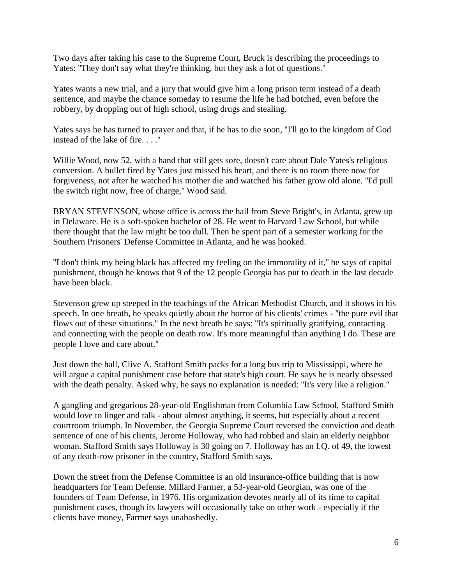Two days after taking his case to the Supreme Court, Bruck is describing the proceedings to Yates: ''They don't say what they're thinking, but they ask a lot of questions.''

Yates wants a new trial, and a jury that would give him a long prison term instead of a death sentence, and maybe the chance someday to resume the life he had botched, even before the robbery, by dropping out of high school, using drugs and stealing.

Yates says he has turned to prayer and that, if he has to die soon, "I'll go to the kingdom of God instead of the lake of fire. . . .''

Willie Wood, now 52, with a hand that still gets sore, doesn't care about Dale Yates's religious conversion. A bullet fired by Yates just missed his heart, and there is no room there now for forgiveness, not after he watched his mother die and watched his father grow old alone. ''I'd pull the switch right now, free of charge,'' Wood said.

BRYAN STEVENSON, whose office is across the hall from Steve Bright's, in Atlanta, grew up in Delaware. He is a soft-spoken bachelor of 28. He went to Harvard Law School, but while there thought that the law might be too dull. Then he spent part of a semester working for the Southern Prisoners' Defense Committee in Atlanta, and he was hooked.

''I don't think my being black has affected my feeling on the immorality of it,'' he says of capital punishment, though he knows that 9 of the 12 people Georgia has put to death in the last decade have been black.

Stevenson grew up steeped in the teachings of the African Methodist Church, and it shows in his speech. In one breath, he speaks quietly about the horror of his clients' crimes - ''the pure evil that flows out of these situations.'' In the next breath he says: ''It's spiritually gratifying, contacting and connecting with the people on death row. It's more meaningful than anything I do. These are people I love and care about.''

Just down the hall, Clive A. Stafford Smith packs for a long bus trip to Mississippi, where he will argue a capital punishment case before that state's high court. He says he is nearly obsessed with the death penalty. Asked why, he says no explanation is needed: "It's very like a religion."

A gangling and gregarious 28-year-old Englishman from Columbia Law School, Stafford Smith would love to linger and talk - about almost anything, it seems, but especially about a recent courtroom triumph. In November, the Georgia Supreme Court reversed the conviction and death sentence of one of his clients, Jerome Holloway, who had robbed and slain an elderly neighbor woman. Stafford Smith says Holloway is 30 going on 7. Holloway has an I.Q. of 49, the lowest of any death-row prisoner in the country, Stafford Smith says.

Down the street from the Defense Committee is an old insurance-office building that is now headquarters for Team Defense. Millard Farmer, a 53-year-old Georgian, was one of the founders of Team Defense, in 1976. His organization devotes nearly all of its time to capital punishment cases, though its lawyers will occasionally take on other work - especially if the clients have money, Farmer says unabashedly.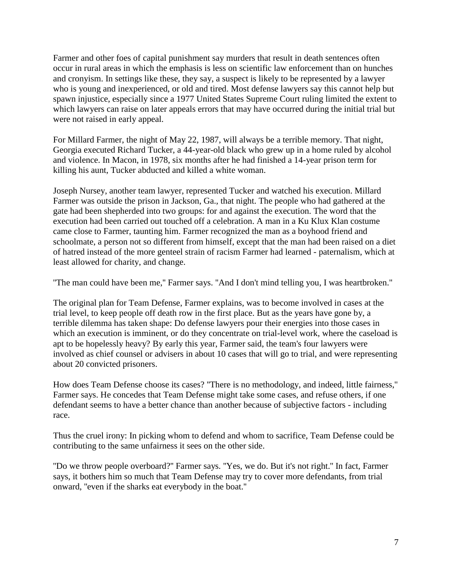Farmer and other foes of capital punishment say murders that result in death sentences often occur in rural areas in which the emphasis is less on scientific law enforcement than on hunches and cronyism. In settings like these, they say, a suspect is likely to be represented by a lawyer who is young and inexperienced, or old and tired. Most defense lawyers say this cannot help but spawn injustice, especially since a 1977 United States Supreme Court ruling limited the extent to which lawyers can raise on later appeals errors that may have occurred during the initial trial but were not raised in early appeal.

For Millard Farmer, the night of May 22, 1987, will always be a terrible memory. That night, Georgia executed Richard Tucker, a 44-year-old black who grew up in a home ruled by alcohol and violence. In Macon, in 1978, six months after he had finished a 14-year prison term for killing his aunt, Tucker abducted and killed a white woman.

Joseph Nursey, another team lawyer, represented Tucker and watched his execution. Millard Farmer was outside the prison in Jackson, Ga., that night. The people who had gathered at the gate had been shepherded into two groups: for and against the execution. The word that the execution had been carried out touched off a celebration. A man in a Ku Klux Klan costume came close to Farmer, taunting him. Farmer recognized the man as a boyhood friend and schoolmate, a person not so different from himself, except that the man had been raised on a diet of hatred instead of the more genteel strain of racism Farmer had learned - paternalism, which at least allowed for charity, and change.

''The man could have been me,'' Farmer says. ''And I don't mind telling you, I was heartbroken.''

The original plan for Team Defense, Farmer explains, was to become involved in cases at the trial level, to keep people off death row in the first place. But as the years have gone by, a terrible dilemma has taken shape: Do defense lawyers pour their energies into those cases in which an execution is imminent, or do they concentrate on trial-level work, where the caseload is apt to be hopelessly heavy? By early this year, Farmer said, the team's four lawyers were involved as chief counsel or advisers in about 10 cases that will go to trial, and were representing about 20 convicted prisoners.

How does Team Defense choose its cases? ''There is no methodology, and indeed, little fairness,'' Farmer says. He concedes that Team Defense might take some cases, and refuse others, if one defendant seems to have a better chance than another because of subjective factors - including race.

Thus the cruel irony: In picking whom to defend and whom to sacrifice, Team Defense could be contributing to the same unfairness it sees on the other side.

''Do we throw people overboard?'' Farmer says. ''Yes, we do. But it's not right.'' In fact, Farmer says, it bothers him so much that Team Defense may try to cover more defendants, from trial onward, ''even if the sharks eat everybody in the boat.''